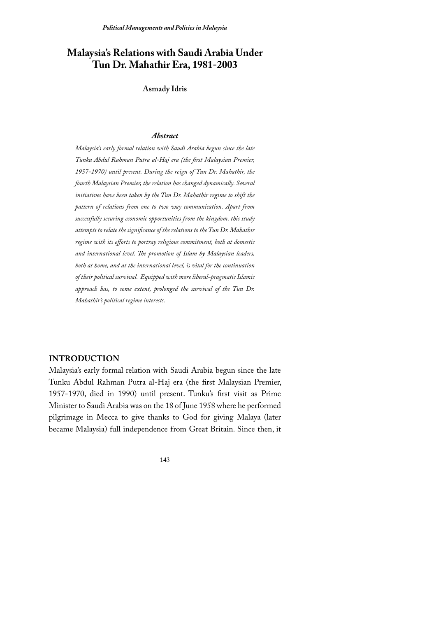# Malaysia's Relations with Saudi Arabia Under Tun Dr. Mahathir Era, 1981-2003

**Asmady Idris** 

### **Abstract**

Malaysia's early formal relation with Saudi Arabia begun since the late Tunku Abdul Rahman Putra al-Haj era (the first Malaysian Premier, 1957-1970) until present. During the reign of Tun Dr. Mahathir, the fourth Malaysian Premier, the relation has changed dynamically. Several initiatives have been taken by the Tun Dr. Mahathir regime to shift the pattern of relations from one to two way communication. Apart from successfully securing economic opportunities from the kingdom, this study attempts to relate the significance of the relations to the Tun Dr. Mahathir regime with its efforts to portray religious commitment, both at domestic and international level. The promotion of Islam by Malaysian leaders, both at home, and at the international level, is vital for the continuation of their political survival. Equipped with more liberal-pragmatic Islamic approach has, to some extent, prolonged the survival of the Tun Dr. Mahathir's political regime interests.

## **INTRODUCTION**

Malaysia's early formal relation with Saudi Arabia begun since the late Tunku Abdul Rahman Putra al-Haj era (the first Malaysian Premier, 1957-1970, died in 1990) until present. Tunku's first visit as Prime Minister to Saudi Arabia was on the 18 of June 1958 where he performed pilgrimage in Mecca to give thanks to God for giving Malaya (later became Malaysia) full independence from Great Britain. Since then, it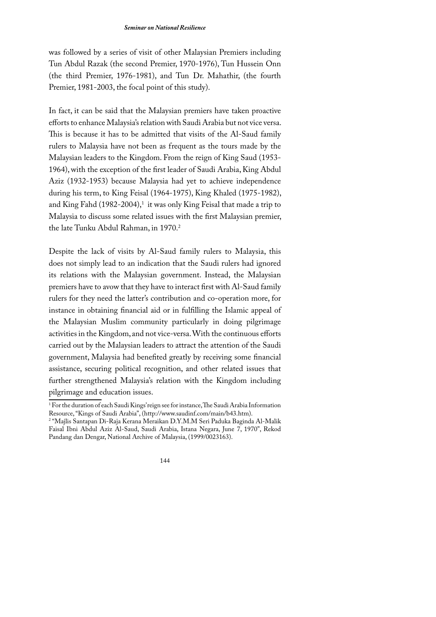was followed by a series of visit of other Malaysian Premiers including Tun Abdul Razak (the second Premier, 1970-1976), Tun Hussein Onn (the third Premier, 1976-1981), and Tun Dr. Mahathir, (the fourth Premier, 1981-2003, the focal point of this study).

In fact, it can be said that the Malaysian premiers have taken proactive efforts to enhance Malaysia's relation with Saudi Arabia but not vice versa. This is because it has to be admitted that visits of the Al-Saud family rulers to Malaysia have not been as frequent as the tours made by the Malaysian leaders to the Kingdom. From the reign of King Saud (1953-1964), with the exception of the first leader of Saudi Arabia, King Abdul Aziz (1932-1953) because Malaysia had yet to achieve independence during his term, to King Feisal (1964-1975), King Khaled (1975-1982), and King Fahd (1982-2004),<sup>1</sup> it was only King Feisal that made a trip to Malaysia to discuss some related issues with the first Malaysian premier, the late Tunku Abdul Rahman, in 1970.<sup>2</sup>

Despite the lack of visits by Al-Saud family rulers to Malaysia, this does not simply lead to an indication that the Saudi rulers had ignored its relations with the Malaysian government. Instead, the Malaysian premiers have to avow that they have to interact first with Al-Saud family rulers for they need the latter's contribution and co-operation more, for instance in obtaining financial aid or in fulfilling the Islamic appeal of the Malaysian Muslim community particularly in doing pilgrimage activities in the Kingdom, and not vice-versa. With the continuous efforts carried out by the Malaysian leaders to attract the attention of the Saudi government, Malaysia had benefited greatly by receiving some financial assistance, securing political recognition, and other related issues that further strengthened Malaysia's relation with the Kingdom including pilgrimage and education issues.

<sup>&</sup>lt;sup>1</sup> For the duration of each Saudi Kings' reign see for instance, The Saudi Arabia Information Resource, "Kings of Saudi Arabia", (http://www.saudinf.com/main/b43.htm).

<sup>&</sup>lt;sup>2</sup> "Majlis Santapan Di-Raja Kerana Meraikan D.Y.M.M Seri Paduka Baginda Al-Malik Faisal Ibni Abdul Aziz Al-Saud, Saudi Arabia, Istana Negara, June 7, 1970", Rekod Pandang dan Dengar, National Archive of Malaysia, (1999/0023163).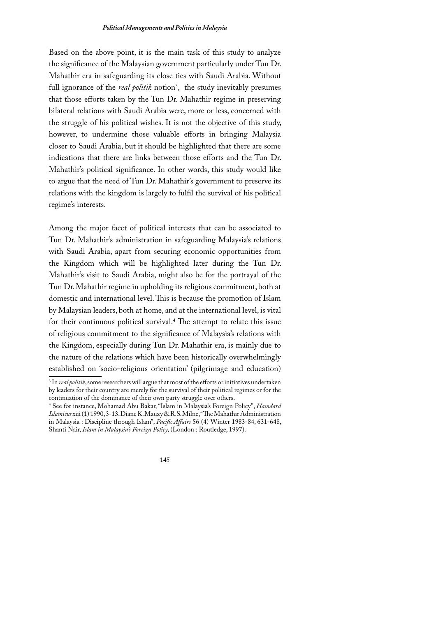Based on the above point, it is the main task of this study to analyze the significance of the Malaysian government particularly under Tun Dr. Mahathir era in safeguarding its close ties with Saudi Arabia. Without full ignorance of the *real politik* notion<sup>3</sup>, the study inevitably presumes that those efforts taken by the Tun Dr. Mahathir regime in preserving bilateral relations with Saudi Arabia were, more or less, concerned with the struggle of his political wishes. It is not the objective of this study, however, to undermine those valuable efforts in bringing Malaysia closer to Saudi Arabia, but it should be highlighted that there are some indications that there are links between those efforts and the Tun Dr. Mahathir's political significance. In other words, this study would like to argue that the need of Tun Dr. Mahathir's government to preserve its relations with the kingdom is largely to fulfil the survival of his political regime's interests.

Among the major facet of political interests that can be associated to Tun Dr. Mahathir's administration in safeguarding Malaysia's relations with Saudi Arabia, apart from securing economic opportunities from the Kingdom which will be highlighted later during the Tun Dr. Mahathir's visit to Saudi Arabia, might also be for the portrayal of the Tun Dr. Mahathir regime in upholding its religious commitment, both at domestic and international level. This is because the promotion of Islam by Malaysian leaders, both at home, and at the international level, is vital for their continuous political survival.<sup>4</sup> The attempt to relate this issue of religious commitment to the significance of Malaysia's relations with the Kingdom, especially during Tun Dr. Mahathir era, is mainly due to the nature of the relations which have been historically overwhelmingly established on 'socio-religious orientation' (pilgrimage and education)

<sup>&</sup>lt;sup>3</sup> In *real politik*, some researchers will argue that most of the efforts or initiatives undertaken by leaders for their country are merely for the survival of their political regimes or for the continuation of the dominance of their own party struggle over others.

<sup>&</sup>lt;sup>4</sup> See for instance, Mohamad Abu Bakar, "Islam in Malaysia's Foreign Policy", Hamdard Islamicus xiii (1) 1990, 3-13, Diane K. Mauzy & R.S. Milne, "The Mahathir Administration in Malaysia : Discipline through Islam", Pacific Affairs 56 (4) Winter 1983-84, 631-648, Shanti Nair, Islam in Malaysia's Foreign Policy, (London: Routledge, 1997).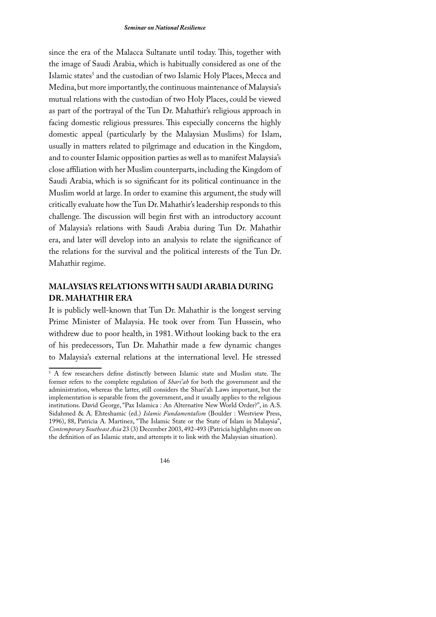since the era of the Malacca Sultanate until today. This, together with the image of Saudi Arabia, which is habitually considered as one of the Islamic states<sup>5</sup> and the custodian of two Islamic Holy Places, Mecca and Medina, but more importantly, the continuous maintenance of Malaysia's mutual relations with the custodian of two Holy Places, could be viewed as part of the portrayal of the Tun Dr. Mahathir's religious approach in facing domestic religious pressures. This especially concerns the highly domestic appeal (particularly by the Malaysian Muslims) for Islam, usually in matters related to pilgrimage and education in the Kingdom, and to counter Islamic opposition parties as well as to manifest Malaysia's close affiliation with her Muslim counterparts, including the Kingdom of Saudi Arabia, which is so significant for its political continuance in the Muslim world at large. In order to examine this argument, the study will critically evaluate how the Tun Dr. Mahathir's leadership responds to this challenge. The discussion will begin first with an introductory account of Malaysia's relations with Saudi Arabia during Tun Dr. Mahathir era, and later will develop into an analysis to relate the significance of the relations for the survival and the political interests of the Tun Dr. Mahathir regime.

# **MALAYSIA'S RELATIONS WITH SAUDI ARABIA DURING DR. MAHATHIR ERA**

It is publicly well-known that Tun Dr. Mahathir is the longest serving Prime Minister of Malaysia. He took over from Tun Hussein, who withdrew due to poor health, in 1981. Without looking back to the era of his predecessors, Tun Dr. Mahathir made a few dynamic changes to Malaysia's external relations at the international level. He stressed

<sup>&</sup>lt;sup>5</sup> A few researchers define distinctly between Islamic state and Muslim state. The former refers to the complete regulation of Shari'ah for both the government and the administration, whereas the latter, still considers the Shari'ah Laws important, but the implementation is separable from the government, and it usually applies to the religious institutions. David George, "Pax Islamica : An Alternative New World Order?", in A.S. Sidahmed & A. Ehteshamic (ed.) Islamic Fundamentalism (Boulder: Westview Press, 1996), 88, Patricia A. Martinez, "The Islamic State or the State of Islam in Malaysia", Contemporary Southeast Asia 23 (3) December 2003, 492-493 (Patricia highlights more on the definition of an Islamic state, and attempts it to link with the Malaysian situation).

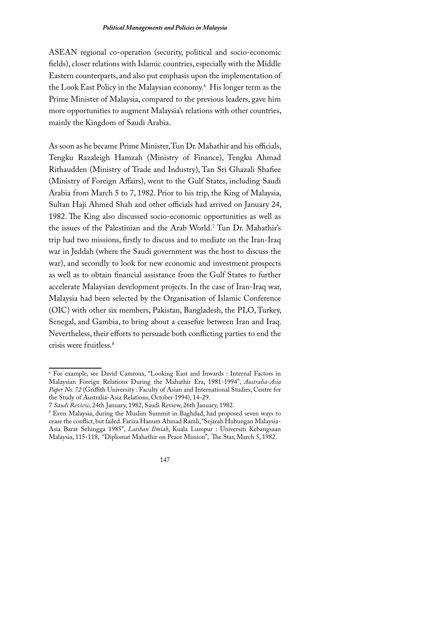ASEAN regional co-operation (security, political and socio-economic fields), closer relations with Islamic countries, especially with the Middle Eastern counterparts, and also put emphasis upon the implementation of the Look East Policy in the Malaysian economy.<sup>6</sup> His longer term as the Prime Minister of Malaysia, compared to the previous leaders, gave him more opportunities to augment Malaysia's relations with other countries, mainly the Kingdom of Saudi Arabia.

As soon as he became Prime Minister, Tun Dr. Mahathir and his officials, Tengku Razaleigh Hamzah (Ministry of Finance), Tengku Ahmad Rithaudden (Ministry of Trade and Industry), Tan Sri Ghazali Shafiee (Ministry of Foreign Affairs), went to the Gulf States, including Saudi Arabia from March 5 to 7, 1982. Prior to his trip, the King of Malaysia, Sultan Haji Ahmed Shah and other officials had arrived on January 24, 1982. The King also discussed socio-economic opportunities as well as the issues of the Palestinian and the Arab World.<sup>7</sup> Tun Dr. Mahathir's trip had two missions, firstly to discuss and to mediate on the Iran-Iraq war in Jeddah (where the Saudi government was the host to discuss the war), and secondly to look for new economic and investment prospects as well as to obtain financial assistance from the Gulf States to further accelerate Malaysian development projects. In the case of Iran-Iraq war, Malaysia had been selected by the Organisation of Islamic Conference (OIC) with other six members, Pakistan, Bangladesh, the PLO, Turkey, Senegal, and Gambia, to bring about a ceasefire between Iran and Iraq. Nevertheless, their efforts to persuade both conflicting parties to end the crisis were fruitless.<sup>8</sup>

<sup>&</sup>lt;sup>8</sup> Even Malaysia, during the Muslim Summit in Baghdad, had proposed seven ways to cease the conflict, but failed. Fariza Hanum Ahmad Ramli, "Sejarah Hubungan Malaysia-Asia Barat Sehingga 1985", Latihan Ilmiah, Kuala Lumpur : Universiti Kebangsaan Malaysia, 115-118, "Diplomat Mahathir on Peace Mission", The Star, March 5, 1982.



<sup>&</sup>lt;sup>6</sup> For example, see David Camroux, "Looking East and Inwards : Internal Factors in Malaysian Foreign Relations During the Mahathir Era, 1981-1994", Australia-Asia Paper No. 72 (Griffith University: Faculty of Asian and International Studies, Centre for the Study of Australia-Asia Relations, October 1994), 14-29.

<sup>7</sup> Saudi Review, 24th January, 1982, Saudi Review, 26th January, 1982.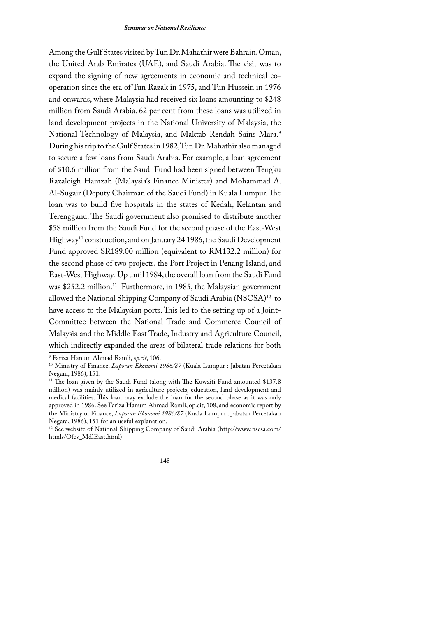Among the Gulf States visited by Tun Dr. Mahathir were Bahrain, Oman, the United Arab Emirates (UAE), and Saudi Arabia. The visit was to expand the signing of new agreements in economic and technical cooperation since the era of Tun Razak in 1975, and Tun Hussein in 1976 and onwards, where Malaysia had received six loans amounting to \$248 million from Saudi Arabia. 62 per cent from these loans was utilized in land development projects in the National University of Malaysia, the National Technology of Malaysia, and Maktab Rendah Sains Mara.9 During his trip to the Gulf States in 1982, Tun Dr. Mahathir also managed to secure a few loans from Saudi Arabia. For example, a loan agreement of \$10.6 million from the Saudi Fund had been signed between Tengku Razaleigh Hamzah (Malaysia's Finance Minister) and Mohammad A. Al-Sugair (Deputy Chairman of the Saudi Fund) in Kuala Lumpur. The loan was to build five hospitals in the states of Kedah, Kelantan and Terengganu. The Saudi government also promised to distribute another \$58 million from the Saudi Fund for the second phase of the East-West Highway<sup>10</sup> construction, and on January 24 1986, the Saudi Development Fund approved SR189.00 million (equivalent to RM132.2 million) for the second phase of two projects, the Port Project in Penang Island, and East-West Highway. Up until 1984, the overall loan from the Saudi Fund was \$252.2 million.<sup>11</sup> Furthermore, in 1985, the Malaysian government allowed the National Shipping Company of Saudi Arabia (NSCSA)<sup>12</sup> to have access to the Malaysian ports. This led to the setting up of a Joint-Committee between the National Trade and Commerce Council of Malaysia and the Middle East Trade, Industry and Agriculture Council, which indirectly expanded the areas of bilateral trade relations for both

<sup>&</sup>lt;sup>12</sup> See website of National Shipping Company of Saudi Arabia (http://www.nscsa.com/ htmls/Ofcs\_MdlEast.html)



<sup>&</sup>lt;sup>9</sup> Fariza Hanum Ahmad Ramli, op.cit, 106.

<sup>&</sup>lt;sup>10</sup> Ministry of Finance, *Laporan Ekonomi 1986/87* (Kuala Lumpur : Jabatan Percetakan Negara, 1986), 151.

<sup>&</sup>lt;sup>11</sup> The loan given by the Saudi Fund (along with The Kuwaiti Fund amounted \$137.8 million) was mainly utilized in agriculture projects, education, land development and medical facilities. This loan may exclude the loan for the second phase as it was only approved in 1986. See Fariza Hanum Ahmad Ramli, op.cit, 108, and economic report by the Ministry of Finance, Laporan Ekonomi 1986/87 (Kuala Lumpur : Jabatan Percetakan Negara, 1986), 151 for an useful explanation.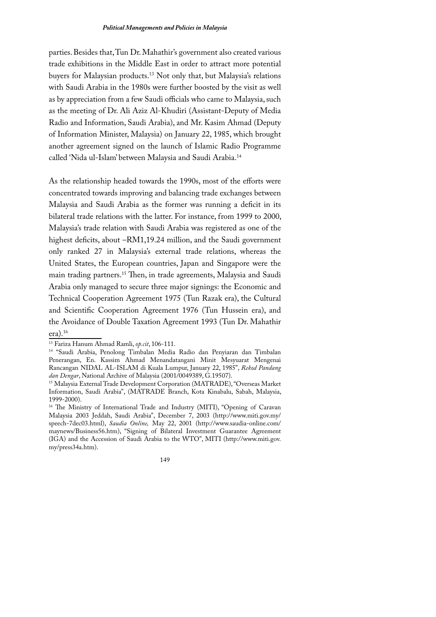parties. Besides that, Tun Dr. Mahathir's government also created various trade exhibitions in the Middle East in order to attract more potential buyers for Malaysian products.<sup>13</sup> Not only that, but Malaysia's relations with Saudi Arabia in the 1980s were further boosted by the visit as well as by appreciation from a few Saudi officials who came to Malaysia, such as the meeting of Dr. Ali Aziz Al-Khudiri (Assistant-Deputy of Media Radio and Information, Saudi Arabia), and Mr. Kasim Ahmad (Deputy of Information Minister, Malaysia) on January 22, 1985, which brought another agreement signed on the launch of Islamic Radio Programme called 'Nida ul-Islam' between Malaysia and Saudi Arabia.<sup>14</sup>

As the relationship headed towards the 1990s, most of the efforts were concentrated towards improving and balancing trade exchanges between Malaysia and Saudi Arabia as the former was running a deficit in its bilateral trade relations with the latter. For instance, from 1999 to 2000, Malaysia's trade relation with Saudi Arabia was registered as one of the highest deficits, about -RM1,19.24 million, and the Saudi government only ranked 27 in Malaysia's external trade relations, whereas the United States, the European countries, Japan and Singapore were the main trading partners.<sup>15</sup> Then, in trade agreements, Malaysia and Saudi Arabia only managed to secure three major signings: the Economic and Technical Cooperation Agreement 1975 (Tun Razak era), the Cultural and Scientific Cooperation Agreement 1976 (Tun Hussein era), and the Avoidance of Double Taxation Agreement 1993 (Tun Dr. Mahathir  $era)$ .<sup>16</sup>

<sup>&</sup>lt;sup>13</sup> Fariza Hanum Ahmad Ramli, op.cit, 106-111.

<sup>&</sup>lt;sup>14</sup> "Saudi Arabia, Penolong Timbalan Media Radio dan Penyiaran dan Timbalan Penerangan, En. Kassim Ahmad Menandatangani Minit Mesyuarat Mengenai Rancangan NIDAL AL-ISLAM di Kuala Lumpur, January 22, 1985", Rekod Pandang dan Dengar, National Archive of Malaysia (2001/0049389, G.19507).

<sup>&</sup>lt;sup>15</sup> Malaysia External Trade Development Corporation (MATRADE), "Overseas Market Information, Saudi Arabia", (MATRADE Branch, Kota Kinabalu, Sabah, Malaysia, 1999-2000).

<sup>&</sup>lt;sup>16</sup> The Ministry of International Trade and Industry (MITI), "Opening of Caravan Malaysia 2003 Jeddah, Saudi Arabia", December 7, 2003 (http://www.miti.gov.my/ speech-7dec03.html), Saudia Online, May 22, 2001 (http://www.saudia-online.com/ maynews/Business56.htm), "Signing of Bilateral Investment Guarantee Agreement (IGA) and the Accession of Saudi Arabia to the WTO", MITI (http://www.miti.gov. my/press34a.htm).

<sup>149</sup>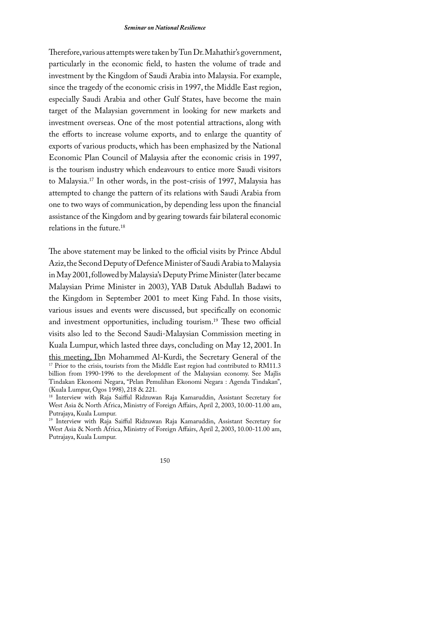Therefore, various attempts were taken by Tun Dr. Mahathir's government, particularly in the economic field, to hasten the volume of trade and investment by the Kingdom of Saudi Arabia into Malaysia. For example, since the tragedy of the economic crisis in 1997, the Middle East region, especially Saudi Arabia and other Gulf States, have become the main target of the Malaysian government in looking for new markets and investment overseas. One of the most potential attractions, along with the efforts to increase volume exports, and to enlarge the quantity of exports of various products, which has been emphasized by the National Economic Plan Council of Malaysia after the economic crisis in 1997, is the tourism industry which endeavours to entice more Saudi visitors to Malaysia.<sup>17</sup> In other words, in the post-crisis of 1997, Malaysia has attempted to change the pattern of its relations with Saudi Arabia from one to two ways of communication, by depending less upon the financial assistance of the Kingdom and by gearing towards fair bilateral economic relations in the future.<sup>18</sup>

The above statement may be linked to the official visits by Prince Abdul Aziz, the Second Deputy of Defence Minister of Saudi Arabia to Malaysia in May 2001, followed by Malaysia's Deputy Prime Minister (later became Malaysian Prime Minister in 2003), YAB Datuk Abdullah Badawi to the Kingdom in September 2001 to meet King Fahd. In those visits, various issues and events were discussed, but specifically on economic and investment opportunities, including tourism.<sup>19</sup> These two official visits also led to the Second Saudi-Malaysian Commission meeting in Kuala Lumpur, which lasted three days, concluding on May 12, 2001. In this meeting, Ibn Mohammed Al-Kurdi, the Secretary General of the <sup>17</sup> Prior to the crisis, tourists from the Middle East region had contributed to RM11.3 billion from 1990-1996 to the development of the Malaysian economy. See Majlis Tindakan Ekonomi Negara, "Pelan Pemulihan Ekonomi Negara : Agenda Tindakan", (Kuala Lumpur, Ogos 1998), 218 & 221.

<sup>19</sup> Interview with Raja Saifful Ridzuwan Raja Kamaruddin, Assistant Secretary for West Asia & North Africa, Ministry of Foreign Affairs, April 2, 2003, 10.00-11.00 am, Putrajaya, Kuala Lumpur.

<sup>&</sup>lt;sup>18</sup> Interview with Raja Saifful Ridzuwan Raja Kamaruddin, Assistant Secretary for West Asia & North Africa, Ministry of Foreign Affairs, April 2, 2003, 10.00-11.00 am, Putrajaya, Kuala Lumpur.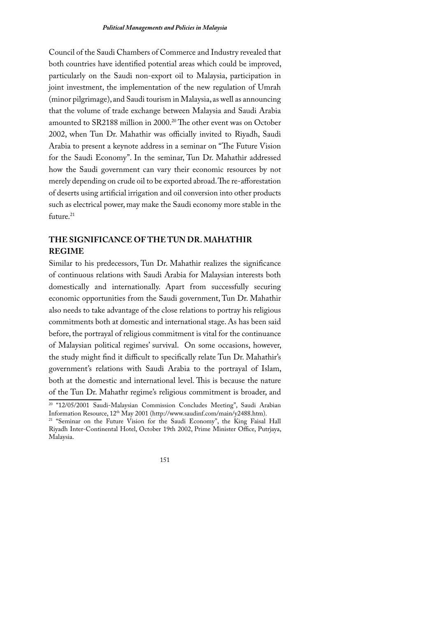Council of the Saudi Chambers of Commerce and Industry revealed that both countries have identified potential areas which could be improved, particularly on the Saudi non-export oil to Malaysia, participation in joint investment, the implementation of the new regulation of Umrah (minor pilgrimage), and Saudi tourism in Malaysia, as well as announcing that the volume of trade exchange between Malaysia and Saudi Arabia amounted to SR2188 million in 2000.<sup>20</sup> The other event was on October 2002, when Tun Dr. Mahathir was officially invited to Riyadh, Saudi Arabia to present a keynote address in a seminar on "The Future Vision for the Saudi Economy". In the seminar, Tun Dr. Mahathir addressed how the Saudi government can vary their economic resources by not merely depending on crude oil to be exported abroad. The re-afforestation of deserts using artificial irrigation and oil conversion into other products such as electrical power, may make the Saudi economy more stable in the future. $^{21}$ 

# THE SIGNIFICANCE OF THE TUN DR. MAHATHIR **REGIME**

Similar to his predecessors, Tun Dr. Mahathir realizes the significance of continuous relations with Saudi Arabia for Malaysian interests both domestically and internationally. Apart from successfully securing economic opportunities from the Saudi government, Tun Dr. Mahathir also needs to take advantage of the close relations to portray his religious commitments both at domestic and international stage. As has been said before, the portrayal of religious commitment is vital for the continuance of Malaysian political regimes' survival. On some occasions, however, the study might find it difficult to specifically relate Tun Dr. Mahathir's government's relations with Saudi Arabia to the portrayal of Islam, both at the domestic and international level. This is because the nature of the Tun Dr. Mahathr regime's religious commitment is broader, and

<sup>&</sup>lt;sup>21</sup> "Seminar on the Future Vision for the Saudi Economy", the King Faisal Hall Riyadh Inter-Continental Hotel, October 19th 2002, Prime Minister Office, Putrjaya, Malaysia.



<sup>&</sup>lt;sup>20</sup> "12/05/2001 Saudi-Malaysian Commission Concludes Meeting", Saudi Arabian Information Resource, 12<sup>th</sup> May 2001 (http://www.saudinf.com/main/y2488.htm).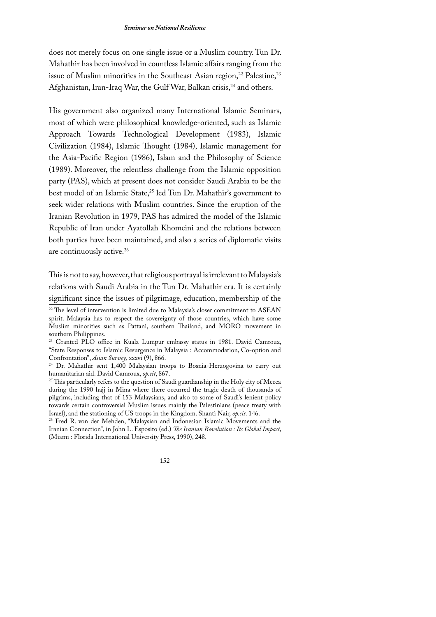does not merely focus on one single issue or a Muslim country. Tun Dr. Mahathir has been involved in countless Islamic affairs ranging from the issue of Muslim minorities in the Southeast Asian region,<sup>22</sup> Palestine,<sup>23</sup> Afghanistan, Iran-Iraq War, the Gulf War, Balkan crisis,<sup>24</sup> and others.

His government also organized many International Islamic Seminars, most of which were philosophical knowledge-oriented, such as Islamic Approach Towards Technological Development (1983), Islamic Civilization (1984), Islamic Thought (1984), Islamic management for the Asia-Pacific Region (1986), Islam and the Philosophy of Science (1989). Moreover, the relentless challenge from the Islamic opposition party (PAS), which at present does not consider Saudi Arabia to be the best model of an Islamic State,<sup>25</sup> led Tun Dr. Mahathir's government to seek wider relations with Muslim countries. Since the eruption of the Iranian Revolution in 1979, PAS has admired the model of the Islamic Republic of Iran under Ayatollah Khomeini and the relations between both parties have been maintained, and also a series of diplomatic visits are continuously active.<sup>26</sup>

This is not to say, however, that religious portrayal is irrelevant to Malaysia's relations with Saudi Arabia in the Tun Dr. Mahathir era. It is certainly significant since the issues of pilgrimage, education, membership of the <sup>22</sup> The level of intervention is limited due to Malaysia's closer commitment to ASEAN

<sup>26</sup> Fred R. von der Mehden, "Malaysian and Indonesian Islamic Movements and the Iranian Connection", in John L. Esposito (ed.) The Iranian Revolution : Its Global Impact, (Miami: Florida International University Press, 1990), 248.

spirit. Malaysia has to respect the sovereignty of those countries, which have some Muslim minorities such as Pattani, southern Thailand, and MORO movement in southern Philippines.

<sup>&</sup>lt;sup>23</sup> Granted PLO office in Kuala Lumpur embassy status in 1981. David Camroux, "State Responses to Islamic Resurgence in Malaysia : Accommodation, Co-option and Confrontation", Asian Survey, xxxvi (9), 866.

<sup>&</sup>lt;sup>24</sup> Dr. Mahathir sent 1,400 Malaysian troops to Bosnia-Herzogovina to carry out humanitarian aid. David Camroux, op.cit, 867.

<sup>&</sup>lt;sup>25</sup> This particularly refers to the question of Saudi guardianship in the Holy city of Mecca during the 1990 hajj in Mina where there occurred the tragic death of thousands of pilgrims, including that of 153 Malaysians, and also to some of Saudi's lenient policy towards certain controversial Muslim issues mainly the Palestinians (peace treaty with Israel), and the stationing of US troops in the Kingdom. Shanti Nair, op.cit, 146.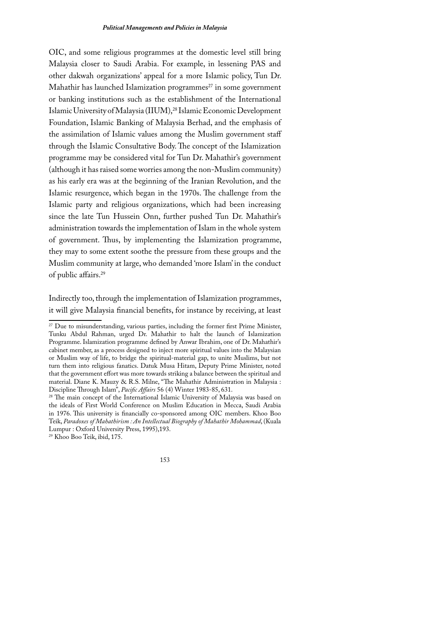OIC, and some religious programmes at the domestic level still bring Malaysia closer to Saudi Arabia. For example, in lessening PAS and other dakwah organizations' appeal for a more Islamic policy, Tun Dr. Mahathir has launched Islamization programmes<sup>27</sup> in some government or banking institutions such as the establishment of the International Islamic University of Malaysia (IIUM),<sup>28</sup> Islamic Economic Development Foundation, Islamic Banking of Malaysia Berhad, and the emphasis of the assimilation of Islamic values among the Muslim government staff through the Islamic Consultative Body. The concept of the Islamization programme may be considered vital for Tun Dr. Mahathir's government (although it has raised some worries among the non-Muslim community) as his early era was at the beginning of the Iranian Revolution, and the Islamic resurgence, which began in the 1970s. The challenge from the Islamic party and religious organizations, which had been increasing since the late Tun Hussein Onn, further pushed Tun Dr. Mahathir's administration towards the implementation of Islam in the whole system of government. Thus, by implementing the Islamization programme, they may to some extent soothe the pressure from these groups and the Muslim community at large, who demanded 'more Islam' in the conduct of public affairs.<sup>29</sup>

Indirectly too, through the implementation of Islamization programmes, it will give Malaysia financial benefits, for instance by receiving, at least

<sup>29</sup> Khoo Boo Teik, ibid, 175.



<sup>&</sup>lt;sup>27</sup> Due to misunderstanding, various parties, including the former first Prime Minister, Tunku Abdul Rahman, urged Dr. Mahathir to halt the launch of Islamization Programme. Islamization programme defined by Anwar Ibrahim, one of Dr. Mahathir's cabinet member, as a process designed to inject more spiritual values into the Malaysian or Muslim way of life, to bridge the spiritual-material gap, to unite Muslims, but not turn them into religious fanatics. Datuk Musa Hitam, Deputy Prime Minister, noted that the government effort was more towards striking a balance between the spiritual and material. Diane K. Mauzy & R.S. Milne, "The Mahathir Administration in Malaysia : Discipline Through Islam", Pacific Affairs 56 (4) Winter 1983-85, 631.

<sup>&</sup>lt;sup>28</sup> The main concept of the International Islamic University of Malaysia was based on the ideals of First World Conference on Muslim Education in Mecca, Saudi Arabia in 1976. This university is financially co-sponsored among OIC members. Khoo Boo Teik, Paradoxes of Mahathirism: An Intellectual Biography of Mahathir Mohammad, (Kuala Lumpur: Oxford University Press, 1995), 193.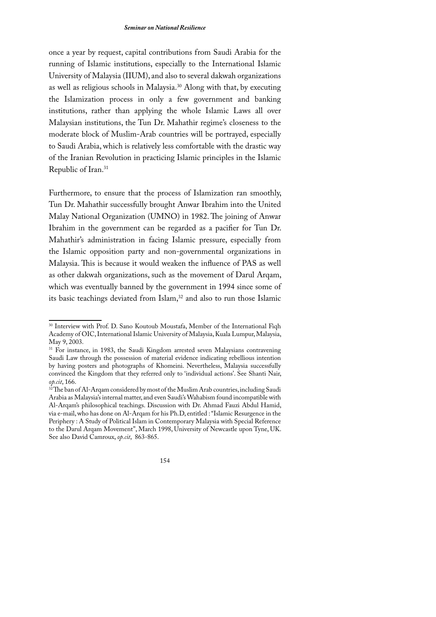#### **Seminar on National Resilience**

once a year by request, capital contributions from Saudi Arabia for the running of Islamic institutions, especially to the International Islamic University of Malaysia (IIUM), and also to several dakwah organizations as well as religious schools in Malaysia.<sup>30</sup> Along with that, by executing the Islamization process in only a few government and banking institutions, rather than applying the whole Islamic Laws all over Malaysian institutions, the Tun Dr. Mahathir regime's closeness to the moderate block of Muslim-Arab countries will be portrayed, especially to Saudi Arabia, which is relatively less comfortable with the drastic way of the Iranian Revolution in practicing Islamic principles in the Islamic Republic of Iran.<sup>31</sup>

Furthermore, to ensure that the process of Islamization ran smoothly, Tun Dr. Mahathir successfully brought Anwar Ibrahim into the United Malay National Organization (UMNO) in 1982. The joining of Anwar Ibrahim in the government can be regarded as a pacifier for Tun Dr. Mahathir's administration in facing Islamic pressure, especially from the Islamic opposition party and non-governmental organizations in Malaysia. This is because it would weaken the influence of PAS as well as other dakwah organizations, such as the movement of Darul Arqam, which was eventually banned by the government in 1994 since some of its basic teachings deviated from Islam,<sup>32</sup> and also to run those Islamic

<sup>&</sup>lt;sup>30</sup> Interview with Prof. D. Sano Koutoub Moustafa, Member of the International Fiqh Academy of OIC, International Islamic University of Malaysia, Kuala Lumpur, Malaysia, May 9, 2003.

<sup>&</sup>lt;sup>31</sup> For instance, in 1983, the Saudi Kingdom arrested seven Malaysians contravening Saudi Law through the possession of material evidence indicating rebellious intention by having posters and photographs of Khomeini. Nevertheless, Malaysia successfully convinced the Kingdom that they referred only to 'individual actions'. See Shanti Nair, op.cit, 166.

<sup>&</sup>lt;sup>32</sup>The ban of Al-Arqam considered by most of the Muslim Arab countries, including Saudi Arabia as Malaysia's internal matter, and even Saudi's Wahabism found incompatible with Al-Argam's philosophical teachings. Discussion with Dr. Ahmad Fauzi Abdul Hamid, via e-mail, who has done on Al-Argam for his Ph.D, entitled : "Islamic Resurgence in the Periphery: A Study of Political Islam in Contemporary Malaysia with Special Reference to the Darul Argam Movement", March 1998, University of Newcastle upon Tyne, UK. See also David Camroux, op.cit, 863-865.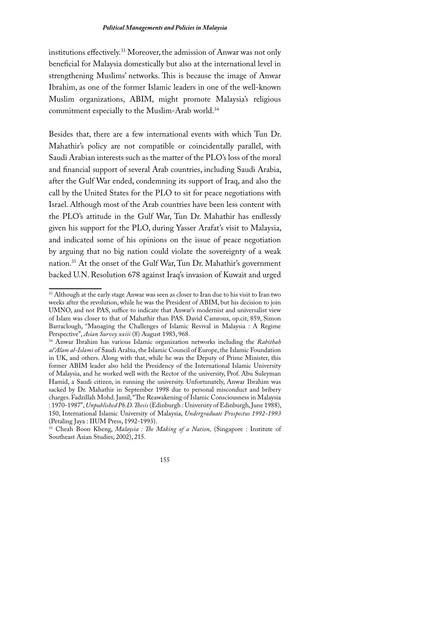institutions effectively.<sup>33</sup> Moreover, the admission of Anwar was not only beneficial for Malaysia domestically but also at the international level in strengthening Muslims' networks. This is because the image of Anwar Ibrahim, as one of the former Islamic leaders in one of the well-known Muslim organizations, ABIM, might promote Malaysia's religious commitment especially to the Muslim-Arab world.<sup>34</sup>

Besides that, there are a few international events with which Tun Dr. Mahathir's policy are not compatible or coincidentally parallel, with Saudi Arabian interests such as the matter of the PLO's loss of the moral and financial support of several Arab countries, including Saudi Arabia, after the Gulf War ended, condemning its support of Iraq, and also the call by the United States for the PLO to sit for peace negotiations with Israel. Although most of the Arab countries have been less content with the PLO's attitude in the Gulf War, Tun Dr. Mahathir has endlessly given his support for the PLO, during Yasser Arafat's visit to Malaysia, and indicated some of his opinions on the issue of peace negotiation by arguing that no big nation could violate the sovereignty of a weak nation.<sup>35</sup> At the onset of the Gulf War, Tun Dr. Mahathir's government backed U.N. Resolution 678 against Iraq's invasion of Kuwait and urged

<sup>&</sup>lt;sup>33</sup> Although at the early stage Anwar was seen as closer to Iran due to his visit to Iran two weeks after the revolution, while he was the President of ABIM, but his decision to join UMNO, and not PAS, suffice to indicate that Anwar's modernist and universalist view of Islam was closer to that of Mahathir than PAS. David Camroux, op.cit, 859, Simon Barraclough, "Managing the Challenges of Islamic Revival in Malaysia : A Regime Perspective", Asian Survey xxiii (8) August 1983, 968.

<sup>&</sup>lt;sup>34</sup> Anwar Ibrahim has various Islamic organization networks including the Rabithah al'Alam al-Islami of Saudi Arabia, the Islamic Council of Europe, the Islamic Foundation in UK, and others. Along with that, while he was the Deputy of Prime Minister, this former ABIM leader also held the Presidency of the International Islamic University of Malaysia, and he worked well with the Rector of the university, Prof. Abu Suleyman Hamid, a Saudi citizen, in running the university. Unfortunately, Anwar Ibrahim was sacked by Dr. Mahathir in September 1998 due to personal misconduct and bribery charges. Fadzillah Mohd. Jamil, "The Reawakening of Islamic Consciousness in Malaysia : 1970-1987", Unpublished Ph.D. Thesis (Edinburgh : University of Edinburgh, June 1988), 150, International Islamic University of Malaysia, Undergraduate Prospectus 1992-1993 (Petaling Jaya: IIUM Press, 1992-1993).

<sup>&</sup>lt;sup>35</sup> Cheah Boon Kheng, *Malaysia : The Making of a Nation*, (Singapore : Institute of Southeast Asian Studies, 2002), 215.

<sup>155</sup>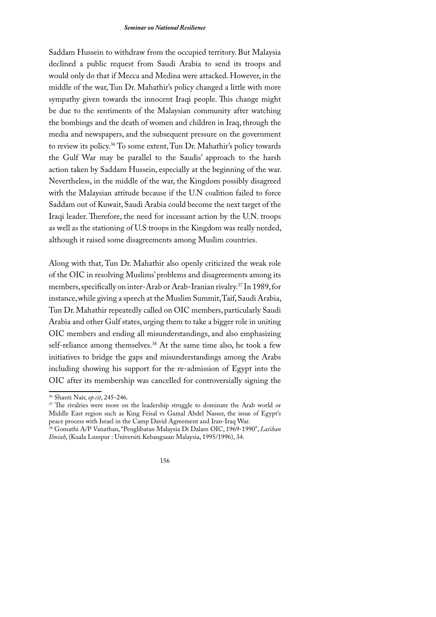#### **Seminar on National Resilience**

Saddam Hussein to withdraw from the occupied territory. But Malaysia declined a public request from Saudi Arabia to send its troops and would only do that if Mecca and Medina were attacked. However, in the middle of the war, Tun Dr. Mahathir's policy changed a little with more sympathy given towards the innocent Iraqi people. This change might be due to the sentiments of the Malaysian community after watching the bombings and the death of women and children in Iraq, through the media and newspapers, and the subsequent pressure on the government to review its policy.<sup>36</sup> To some extent, Tun Dr. Mahathir's policy towards the Gulf War may be parallel to the Saudis' approach to the harsh action taken by Saddam Hussein, especially at the beginning of the war. Nevertheless, in the middle of the war, the Kingdom possibly disagreed with the Malaysian attitude because if the U.N coalition failed to force Saddam out of Kuwait, Saudi Arabia could become the next target of the Iraqi leader. Therefore, the need for incessant action by the U.N. troops as well as the stationing of U.S troops in the Kingdom was really needed, although it raised some disagreements among Muslim countries.

Along with that, Tun Dr. Mahathir also openly criticized the weak role of the OIC in resolving Muslims' problems and disagreements among its members, specifically on inter-Arab or Arab-Iranian rivalry.<sup>37</sup> In 1989, for instance, while giving a speech at the Muslim Summit, Taif, Saudi Arabia, Tun Dr. Mahathir repeatedly called on OIC members, particularly Saudi Arabia and other Gulf states, urging them to take a bigger role in uniting OIC members and ending all misunderstandings, and also emphasizing self-reliance among themselves.<sup>38</sup> At the same time also, he took a few initiatives to bridge the gaps and misunderstandings among the Arabs including showing his support for the re-admission of Egypt into the OIC after its membership was cancelled for controversially signing the

<sup>37</sup> The rivalries were more on the leadership struggle to dominate the Arab world or Middle East region such as King Feisal vs Gamal Abdel Nasser, the issue of Egypt's peace process with Israel in the Camp David Agreement and Iran-Iraq War.

<sup>38</sup> Gomathi A/P Vanathan, "Penglibatan Malaysia Di Dalam OIC, 1969-1990", Latihan Ilmiah, (Kuala Lumpur: Universiti Kebangsaan Malaysia, 1995/1996), 34.



<sup>&</sup>lt;sup>36</sup> Shanti Nair, op.cit, 245-246.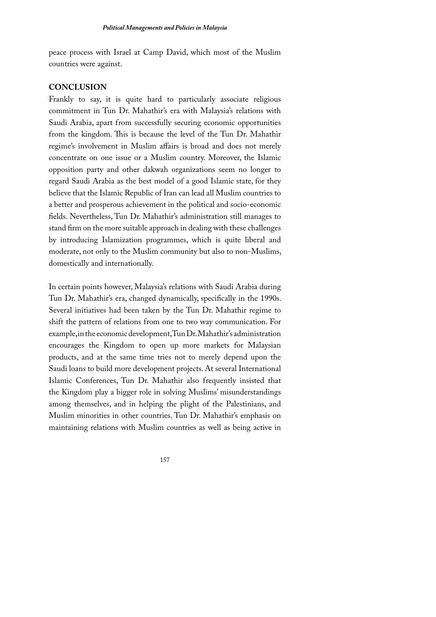peace process with Israel at Camp David, which most of the Muslim countries were against.

## **CONCLUSION**

Frankly to say, it is quite hard to particularly associate religious commitment in Tun Dr. Mahathir's era with Malaysia's relations with Saudi Arabia, apart from successfully securing economic opportunities from the kingdom. This is because the level of the Tun Dr. Mahathir regime's involvement in Muslim affairs is broad and does not merely concentrate on one issue or a Muslim country. Moreover, the Islamic opposition party and other dakwah organizations seem no longer to regard Saudi Arabia as the best model of a good Islamic state, for they believe that the Islamic Republic of Iran can lead all Muslim countries to a better and prosperous achievement in the political and socio-economic fields. Nevertheless, Tun Dr. Mahathir's administration still manages to stand firm on the more suitable approach in dealing with these challenges by introducing Islamization programmes, which is quite liberal and moderate, not only to the Muslim community but also to non-Muslims, domestically and internationally.

In certain points however, Malaysia's relations with Saudi Arabia during Tun Dr. Mahathir's era, changed dynamically, specifically in the 1990s. Several initiatives had been taken by the Tun Dr. Mahathir regime to shift the pattern of relations from one to two way communication. For example, in the economic development, Tun Dr. Mahathir's administration encourages the Kingdom to open up more markets for Malaysian products, and at the same time tries not to merely depend upon the Saudi loans to build more development projects. At several International Islamic Conferences, Tun Dr. Mahathir also frequently insisted that the Kingdom play a bigger role in solving Muslims' misunderstandings among themselves, and in helping the plight of the Palestinians, and Muslim minorities in other countries. Tun Dr. Mahathir's emphasis on maintaining relations with Muslim countries as well as being active in